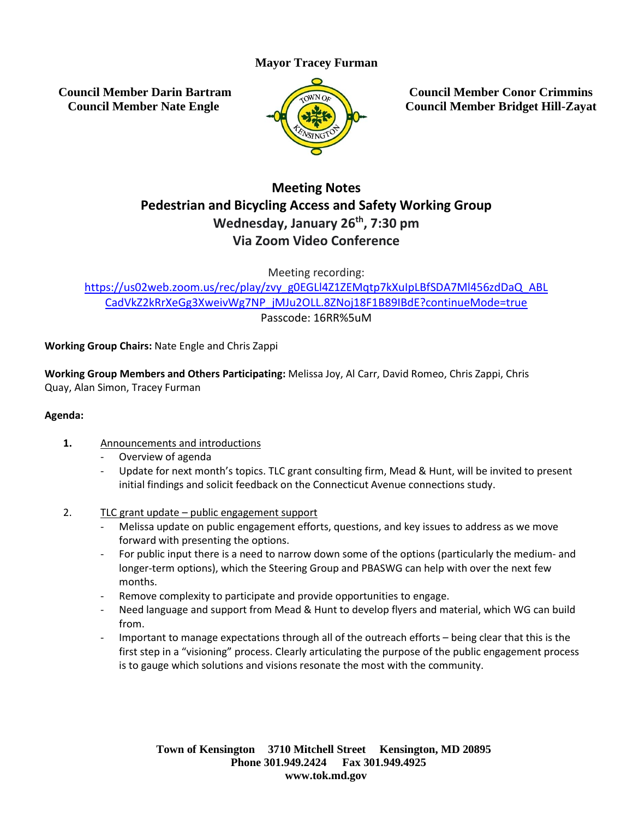# **Mayor Tracey Furman**

**Council Member Darin Bartram Council Member Nate Engle**



**Council Member Conor Crimmins Council Member Bridget Hill-Zayat**

# **Meeting Notes Pedestrian and Bicycling Access and Safety Working Group Wednesday, January 26th , 7:30 pm Via Zoom Video Conference**

Meeting recording:

[https://us02web.zoom.us/rec/play/zvy\\_g0EGLl4Z1ZEMqtp7kXuIpLBfSDA7Ml456zdDaQ\\_ABL](https://us02web.zoom.us/rec/play/zvy_g0EGLl4Z1ZEMqtp7kXuIpLBfSDA7Ml456zdDaQ_ABLCadVkZ2kRrXeGg3XweivWg7NP_jMJu2OLL.8ZNoj18F1B89IBdE?continueMode=true) [CadVkZ2kRrXeGg3XweivWg7NP\\_jMJu2OLL.8ZNoj18F1B89IBdE?continueMode=true](https://us02web.zoom.us/rec/play/zvy_g0EGLl4Z1ZEMqtp7kXuIpLBfSDA7Ml456zdDaQ_ABLCadVkZ2kRrXeGg3XweivWg7NP_jMJu2OLL.8ZNoj18F1B89IBdE?continueMode=true) Passcode: 16RR%5uM

**Working Group Chairs:** Nate Engle and Chris Zappi

**Working Group Members and Others Participating:** Melissa Joy, Al Carr, David Romeo, Chris Zappi, Chris Quay, Alan Simon, Tracey Furman

## **Agenda:**

- **1.** Announcements and introductions
	- Overview of agenda
	- Update for next month's topics. TLC grant consulting firm, Mead & Hunt, will be invited to present initial findings and solicit feedback on the Connecticut Avenue connections study.
- 2. TLC grant update public engagement support
	- Melissa update on public engagement efforts, questions, and key issues to address as we move forward with presenting the options.
	- For public input there is a need to narrow down some of the options (particularly the medium- and longer-term options), which the Steering Group and PBASWG can help with over the next few months.
	- Remove complexity to participate and provide opportunities to engage.
	- Need language and support from Mead & Hunt to develop flyers and material, which WG can build from.
	- Important to manage expectations through all of the outreach efforts being clear that this is the first step in a "visioning" process. Clearly articulating the purpose of the public engagement process is to gauge which solutions and visions resonate the most with the community.

**Town of Kensington 3710 Mitchell Street Kensington, MD 20895 Phone 301.949.2424 Fax 301.949.4925 www.tok.md.gov**